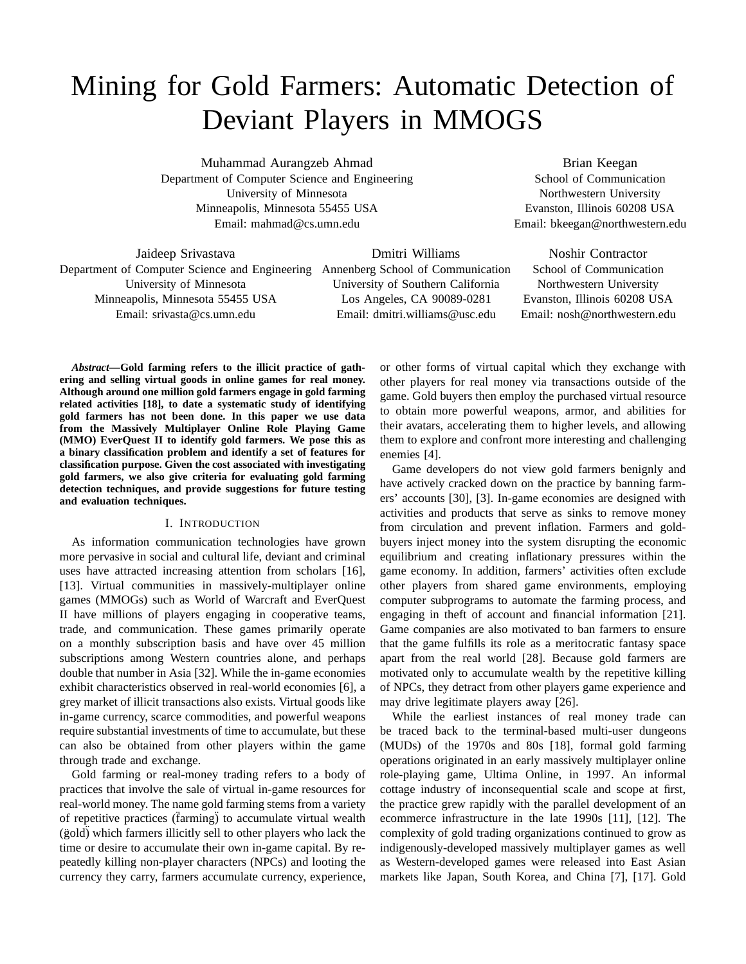# Mining for Gold Farmers: Automatic Detection of Deviant Players in MMOGS

Muhammad Aurangzeb Ahmad Department of Computer Science and Engineering University of Minnesota Minneapolis, Minnesota 55455 USA Email: mahmad@cs.umn.edu

Brian Keegan School of Communication Northwestern University Evanston, Illinois 60208 USA Email: bkeegan@northwestern.edu

Jaideep Srivastava Department of Computer Science and Engineering Annenberg School of Communication University of Minnesota Minneapolis, Minnesota 55455 USA Email: srivasta@cs.umn.edu

Dmitri Williams University of Southern California Los Angeles, CA 90089-0281 Email: dmitri.williams@usc.edu

Noshir Contractor School of Communication Northwestern University Evanston, Illinois 60208 USA Email: nosh@northwestern.edu

*Abstract***—Gold farming refers to the illicit practice of gathering and selling virtual goods in online games for real money. Although around one million gold farmers engage in gold farming related activities [18], to date a systematic study of identifying gold farmers has not been done. In this paper we use data from the Massively Multiplayer Online Role Playing Game (MMO) EverQuest II to identify gold farmers. We pose this as a binary classification problem and identify a set of features for classification purpose. Given the cost associated with investigating gold farmers, we also give criteria for evaluating gold farming detection techniques, and provide suggestions for future testing and evaluation techniques.**

## I. INTRODUCTION

As information communication technologies have grown more pervasive in social and cultural life, deviant and criminal uses have attracted increasing attention from scholars [16], [13]. Virtual communities in massively-multiplayer online games (MMOGs) such as World of Warcraft and EverQuest II have millions of players engaging in cooperative teams, trade, and communication. These games primarily operate on a monthly subscription basis and have over 45 million subscriptions among Western countries alone, and perhaps double that number in Asia [32]. While the in-game economies exhibit characteristics observed in real-world economies [6], a grey market of illicit transactions also exists. Virtual goods like in-game currency, scarce commodities, and powerful weapons require substantial investments of time to accumulate, but these can also be obtained from other players within the game through trade and exchange.

Gold farming or real-money trading refers to a body of practices that involve the sale of virtual in-game resources for real-world money. The name gold farming stems from a variety of repetitive practices (farming) to accumulate virtual wealth (gold) which farmers illicitly sell to other players who lack the time or desire to accumulate their own in-game capital. By repeatedly killing non-player characters (NPCs) and looting the currency they carry, farmers accumulate currency, experience, or other forms of virtual capital which they exchange with other players for real money via transactions outside of the game. Gold buyers then employ the purchased virtual resource to obtain more powerful weapons, armor, and abilities for their avatars, accelerating them to higher levels, and allowing them to explore and confront more interesting and challenging enemies [4].

Game developers do not view gold farmers benignly and have actively cracked down on the practice by banning farmers' accounts [30], [3]. In-game economies are designed with activities and products that serve as sinks to remove money from circulation and prevent inflation. Farmers and goldbuyers inject money into the system disrupting the economic equilibrium and creating inflationary pressures within the game economy. In addition, farmers' activities often exclude other players from shared game environments, employing computer subprograms to automate the farming process, and engaging in theft of account and financial information [21]. Game companies are also motivated to ban farmers to ensure that the game fulfills its role as a meritocratic fantasy space apart from the real world [28]. Because gold farmers are motivated only to accumulate wealth by the repetitive killing of NPCs, they detract from other players game experience and may drive legitimate players away [26].

While the earliest instances of real money trade can be traced back to the terminal-based multi-user dungeons (MUDs) of the 1970s and 80s [18], formal gold farming operations originated in an early massively multiplayer online role-playing game, Ultima Online, in 1997. An informal cottage industry of inconsequential scale and scope at first, the practice grew rapidly with the parallel development of an ecommerce infrastructure in the late 1990s [11], [12]. The complexity of gold trading organizations continued to grow as indigenously-developed massively multiplayer games as well as Western-developed games were released into East Asian markets like Japan, South Korea, and China [7], [17]. Gold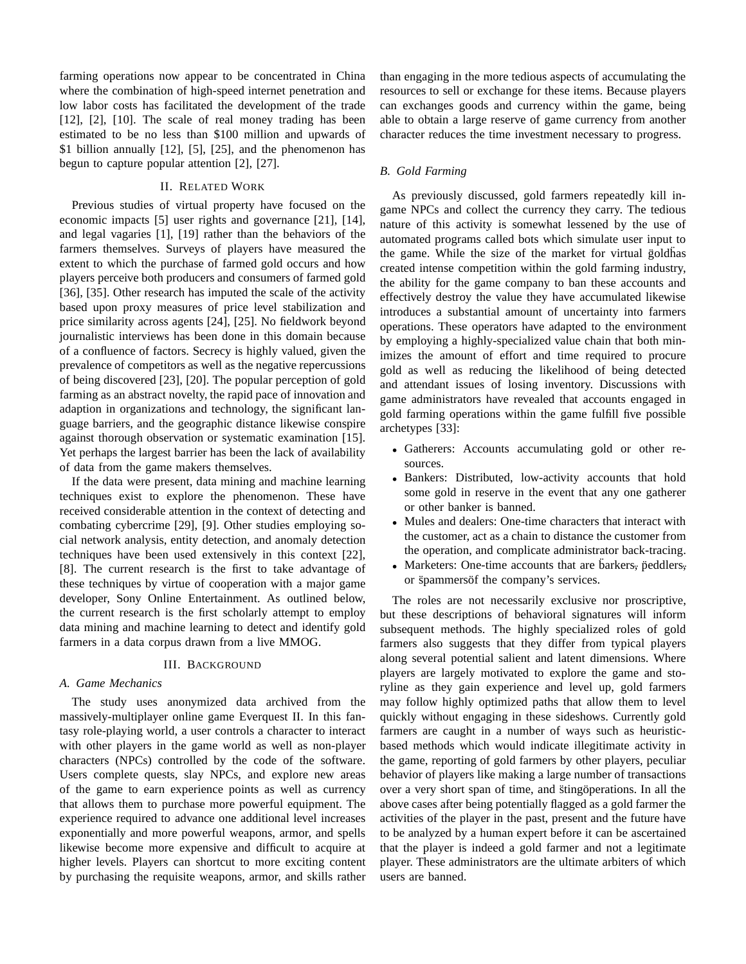farming operations now appear to be concentrated in China where the combination of high-speed internet penetration and low labor costs has facilitated the development of the trade [12], [2], [10]. The scale of real money trading has been estimated to be no less than \$100 million and upwards of \$1 billion annually  $[12]$ ,  $[5]$ ,  $[25]$ , and the phenomenon has begun to capture popular attention [2], [27].

## II. RELATED WORK

Previous studies of virtual property have focused on the economic impacts [5] user rights and governance [21], [14], and legal vagaries [1], [19] rather than the behaviors of the farmers themselves. Surveys of players have measured the extent to which the purchase of farmed gold occurs and how players perceive both producers and consumers of farmed gold [36], [35]. Other research has imputed the scale of the activity based upon proxy measures of price level stabilization and price similarity across agents [24], [25]. No fieldwork beyond journalistic interviews has been done in this domain because of a confluence of factors. Secrecy is highly valued, given the prevalence of competitors as well as the negative repercussions of being discovered [23], [20]. The popular perception of gold farming as an abstract novelty, the rapid pace of innovation and adaption in organizations and technology, the significant language barriers, and the geographic distance likewise conspire against thorough observation or systematic examination [15]. Yet perhaps the largest barrier has been the lack of availability of data from the game makers themselves.

If the data were present, data mining and machine learning techniques exist to explore the phenomenon. These have received considerable attention in the context of detecting and combating cybercrime [29], [9]. Other studies employing social network analysis, entity detection, and anomaly detection techniques have been used extensively in this context [22], [8]. The current research is the first to take advantage of these techniques by virtue of cooperation with a major game developer, Sony Online Entertainment. As outlined below, the current research is the first scholarly attempt to employ data mining and machine learning to detect and identify gold farmers in a data corpus drawn from a live MMOG.

## III. BACKGROUND

### *A. Game Mechanics*

The study uses anonymized data archived from the massively-multiplayer online game Everquest II. In this fantasy role-playing world, a user controls a character to interact with other players in the game world as well as non-player characters (NPCs) controlled by the code of the software. Users complete quests, slay NPCs, and explore new areas of the game to earn experience points as well as currency that allows them to purchase more powerful equipment. The experience required to advance one additional level increases exponentially and more powerful weapons, armor, and spells likewise become more expensive and difficult to acquire at higher levels. Players can shortcut to more exciting content by purchasing the requisite weapons, armor, and skills rather

than engaging in the more tedious aspects of accumulating the resources to sell or exchange for these items. Because players can exchanges goods and currency within the game, being able to obtain a large reserve of game currency from another character reduces the time investment necessary to progress.

## *B. Gold Farming*

As previously discussed, gold farmers repeatedly kill ingame NPCs and collect the currency they carry. The tedious nature of this activity is somewhat lessened by the use of automated programs called bots which simulate user input to the game. While the size of the market for virtual goldhas created intense competition within the gold farming industry, the ability for the game company to ban these accounts and effectively destroy the value they have accumulated likewise introduces a substantial amount of uncertainty into farmers operations. These operators have adapted to the environment by employing a highly-specialized value chain that both minimizes the amount of effort and time required to procure gold as well as reducing the likelihood of being detected and attendant issues of losing inventory. Discussions with game administrators have revealed that accounts engaged in gold farming operations within the game fulfill five possible archetypes [33]:

- Gatherers: Accounts accumulating gold or other resources.
- Bankers: Distributed, low-activity accounts that hold some gold in reserve in the event that any one gatherer or other banker is banned.
- Mules and dealers: One-time characters that interact with the customer, act as a chain to distance the customer from the operation, and complicate administrator back-tracing.
- Marketers: One-time accounts that are barkers, peddlers, or spammers of the company's services.

The roles are not necessarily exclusive nor proscriptive, but these descriptions of behavioral signatures will inform subsequent methods. The highly specialized roles of gold farmers also suggests that they differ from typical players along several potential salient and latent dimensions. Where players are largely motivated to explore the game and storyline as they gain experience and level up, gold farmers may follow highly optimized paths that allow them to level quickly without engaging in these sideshows. Currently gold farmers are caught in a number of ways such as heuristicbased methods which would indicate illegitimate activity in the game, reporting of gold farmers by other players, peculiar behavior of players like making a large number of transactions over a very short span of time, and stingöperations. In all the above cases after being potentially flagged as a gold farmer the activities of the player in the past, present and the future have to be analyzed by a human expert before it can be ascertained that the player is indeed a gold farmer and not a legitimate player. These administrators are the ultimate arbiters of which users are banned.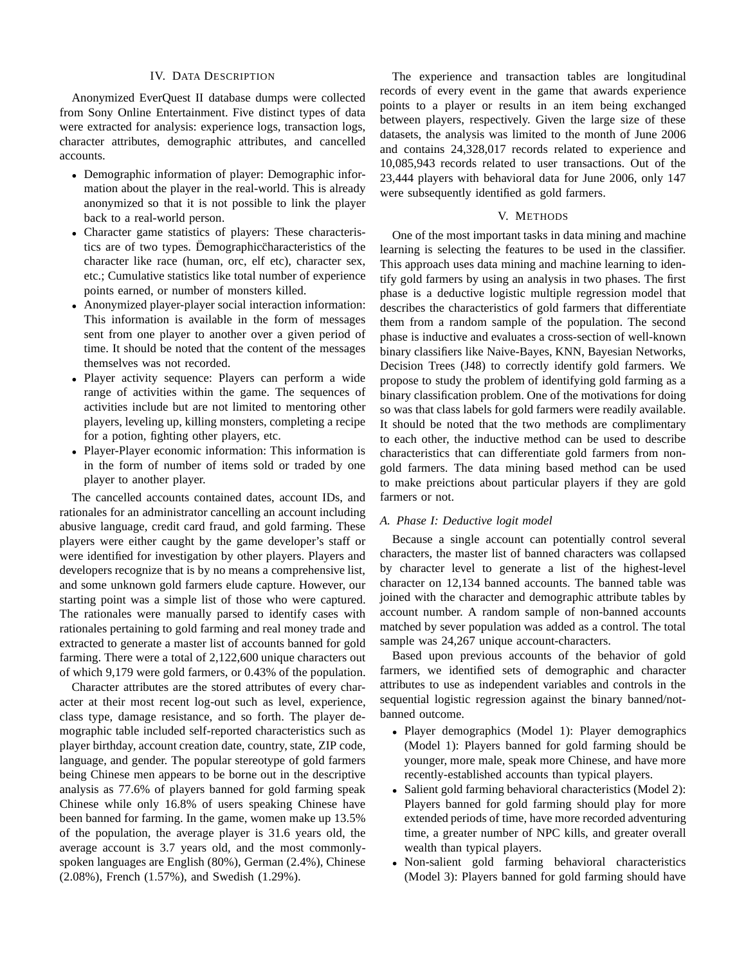#### IV. DATA DESCRIPTION

Anonymized EverQuest II database dumps were collected from Sony Online Entertainment. Five distinct types of data were extracted for analysis: experience logs, transaction logs, character attributes, demographic attributes, and cancelled accounts.

- Demographic information of player: Demographic information about the player in the real-world. This is already anonymized so that it is not possible to link the player back to a real-world person.
- Character game statistics of players: These characteristics are of two types. Demographic characteristics of the character like race (human, orc, elf etc), character sex, etc.; Cumulative statistics like total number of experience points earned, or number of monsters killed.
- Anonymized player-player social interaction information: This information is available in the form of messages sent from one player to another over a given period of time. It should be noted that the content of the messages themselves was not recorded.
- Player activity sequence: Players can perform a wide range of activities within the game. The sequences of activities include but are not limited to mentoring other players, leveling up, killing monsters, completing a recipe for a potion, fighting other players, etc.
- Player-Player economic information: This information is in the form of number of items sold or traded by one player to another player.

The cancelled accounts contained dates, account IDs, and rationales for an administrator cancelling an account including abusive language, credit card fraud, and gold farming. These players were either caught by the game developer's staff or were identified for investigation by other players. Players and developers recognize that is by no means a comprehensive list, and some unknown gold farmers elude capture. However, our starting point was a simple list of those who were captured. The rationales were manually parsed to identify cases with rationales pertaining to gold farming and real money trade and extracted to generate a master list of accounts banned for gold farming. There were a total of 2,122,600 unique characters out of which 9,179 were gold farmers, or 0.43% of the population.

Character attributes are the stored attributes of every character at their most recent log-out such as level, experience, class type, damage resistance, and so forth. The player demographic table included self-reported characteristics such as player birthday, account creation date, country, state, ZIP code, language, and gender. The popular stereotype of gold farmers being Chinese men appears to be borne out in the descriptive analysis as 77.6% of players banned for gold farming speak Chinese while only 16.8% of users speaking Chinese have been banned for farming. In the game, women make up 13.5% of the population, the average player is 31.6 years old, the average account is 3.7 years old, and the most commonlyspoken languages are English (80%), German (2.4%), Chinese (2.08%), French (1.57%), and Swedish (1.29%).

The experience and transaction tables are longitudinal records of every event in the game that awards experience points to a player or results in an item being exchanged between players, respectively. Given the large size of these datasets, the analysis was limited to the month of June 2006 and contains 24,328,017 records related to experience and 10,085,943 records related to user transactions. Out of the 23,444 players with behavioral data for June 2006, only 147 were subsequently identified as gold farmers.

## V. METHODS

One of the most important tasks in data mining and machine learning is selecting the features to be used in the classifier. This approach uses data mining and machine learning to identify gold farmers by using an analysis in two phases. The first phase is a deductive logistic multiple regression model that describes the characteristics of gold farmers that differentiate them from a random sample of the population. The second phase is inductive and evaluates a cross-section of well-known binary classifiers like Naive-Bayes, KNN, Bayesian Networks, Decision Trees (J48) to correctly identify gold farmers. We propose to study the problem of identifying gold farming as a binary classification problem. One of the motivations for doing so was that class labels for gold farmers were readily available. It should be noted that the two methods are complimentary to each other, the inductive method can be used to describe characteristics that can differentiate gold farmers from nongold farmers. The data mining based method can be used to make preictions about particular players if they are gold farmers or not.

## *A. Phase I: Deductive logit model*

Because a single account can potentially control several characters, the master list of banned characters was collapsed by character level to generate a list of the highest-level character on 12,134 banned accounts. The banned table was joined with the character and demographic attribute tables by account number. A random sample of non-banned accounts matched by sever population was added as a control. The total sample was 24,267 unique account-characters.

Based upon previous accounts of the behavior of gold farmers, we identified sets of demographic and character attributes to use as independent variables and controls in the sequential logistic regression against the binary banned/notbanned outcome.

- Player demographics (Model 1): Player demographics (Model 1): Players banned for gold farming should be younger, more male, speak more Chinese, and have more recently-established accounts than typical players.
- Salient gold farming behavioral characteristics (Model 2): Players banned for gold farming should play for more extended periods of time, have more recorded adventuring time, a greater number of NPC kills, and greater overall wealth than typical players.
- Non-salient gold farming behavioral characteristics (Model 3): Players banned for gold farming should have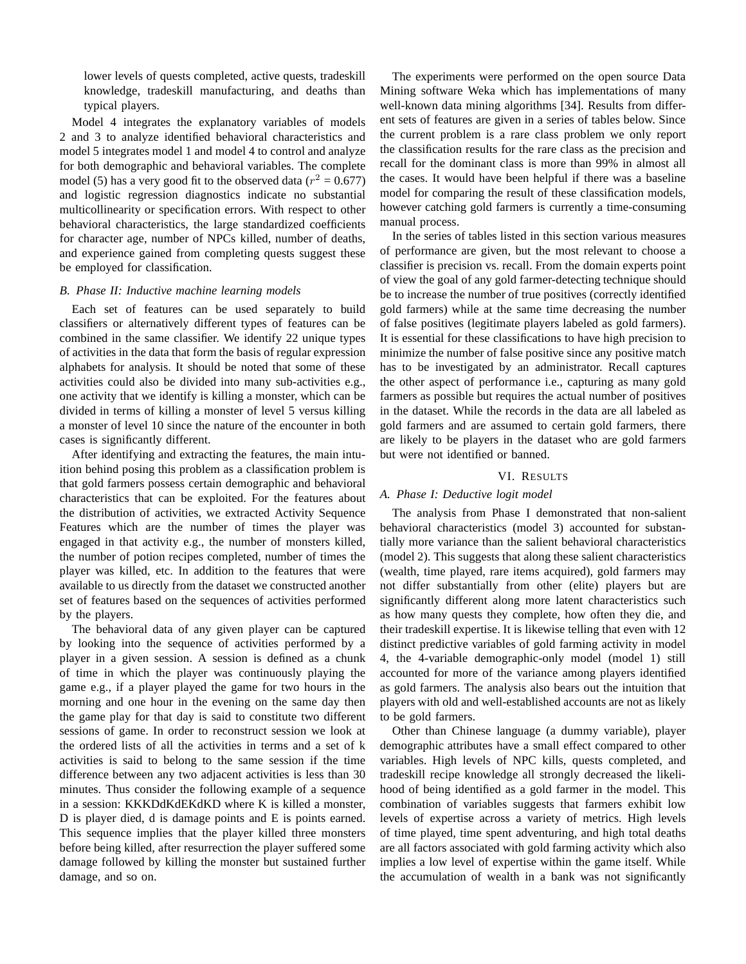lower levels of quests completed, active quests, tradeskill knowledge, tradeskill manufacturing, and deaths than typical players.

Model 4 integrates the explanatory variables of models 2 and 3 to analyze identified behavioral characteristics and model 5 integrates model 1 and model 4 to control and analyze for both demographic and behavioral variables. The complete model (5) has a very good fit to the observed data ( $r^2 = 0.677$ ) and logistic regression diagnostics indicate no substantial multicollinearity or specification errors. With respect to other behavioral characteristics, the large standardized coefficients for character age, number of NPCs killed, number of deaths, and experience gained from completing quests suggest these be employed for classification.

#### *B. Phase II: Inductive machine learning models*

Each set of features can be used separately to build classifiers or alternatively different types of features can be combined in the same classifier. We identify 22 unique types of activities in the data that form the basis of regular expression alphabets for analysis. It should be noted that some of these activities could also be divided into many sub-activities e.g., one activity that we identify is killing a monster, which can be divided in terms of killing a monster of level 5 versus killing a monster of level 10 since the nature of the encounter in both cases is significantly different.

After identifying and extracting the features, the main intuition behind posing this problem as a classification problem is that gold farmers possess certain demographic and behavioral characteristics that can be exploited. For the features about the distribution of activities, we extracted Activity Sequence Features which are the number of times the player was engaged in that activity e.g., the number of monsters killed, the number of potion recipes completed, number of times the player was killed, etc. In addition to the features that were available to us directly from the dataset we constructed another set of features based on the sequences of activities performed by the players.

The behavioral data of any given player can be captured by looking into the sequence of activities performed by a player in a given session. A session is defined as a chunk of time in which the player was continuously playing the game e.g., if a player played the game for two hours in the morning and one hour in the evening on the same day then the game play for that day is said to constitute two different sessions of game. In order to reconstruct session we look at the ordered lists of all the activities in terms and a set of k activities is said to belong to the same session if the time difference between any two adjacent activities is less than 30 minutes. Thus consider the following example of a sequence in a session: KKKDdKdEKdKD where K is killed a monster, D is player died, d is damage points and E is points earned. This sequence implies that the player killed three monsters before being killed, after resurrection the player suffered some damage followed by killing the monster but sustained further damage, and so on.

The experiments were performed on the open source Data Mining software Weka which has implementations of many well-known data mining algorithms [34]. Results from different sets of features are given in a series of tables below. Since the current problem is a rare class problem we only report the classification results for the rare class as the precision and recall for the dominant class is more than 99% in almost all the cases. It would have been helpful if there was a baseline model for comparing the result of these classification models, however catching gold farmers is currently a time-consuming manual process.

In the series of tables listed in this section various measures of performance are given, but the most relevant to choose a classifier is precision vs. recall. From the domain experts point of view the goal of any gold farmer-detecting technique should be to increase the number of true positives (correctly identified gold farmers) while at the same time decreasing the number of false positives (legitimate players labeled as gold farmers). It is essential for these classifications to have high precision to minimize the number of false positive since any positive match has to be investigated by an administrator. Recall captures the other aspect of performance i.e., capturing as many gold farmers as possible but requires the actual number of positives in the dataset. While the records in the data are all labeled as gold farmers and are assumed to certain gold farmers, there are likely to be players in the dataset who are gold farmers but were not identified or banned.

### VI. RESULTS

## *A. Phase I: Deductive logit model*

The analysis from Phase I demonstrated that non-salient behavioral characteristics (model 3) accounted for substantially more variance than the salient behavioral characteristics (model 2). This suggests that along these salient characteristics (wealth, time played, rare items acquired), gold farmers may not differ substantially from other (elite) players but are significantly different along more latent characteristics such as how many quests they complete, how often they die, and their tradeskill expertise. It is likewise telling that even with 12 distinct predictive variables of gold farming activity in model 4, the 4-variable demographic-only model (model 1) still accounted for more of the variance among players identified as gold farmers. The analysis also bears out the intuition that players with old and well-established accounts are not as likely to be gold farmers.

Other than Chinese language (a dummy variable), player demographic attributes have a small effect compared to other variables. High levels of NPC kills, quests completed, and tradeskill recipe knowledge all strongly decreased the likelihood of being identified as a gold farmer in the model. This combination of variables suggests that farmers exhibit low levels of expertise across a variety of metrics. High levels of time played, time spent adventuring, and high total deaths are all factors associated with gold farming activity which also implies a low level of expertise within the game itself. While the accumulation of wealth in a bank was not significantly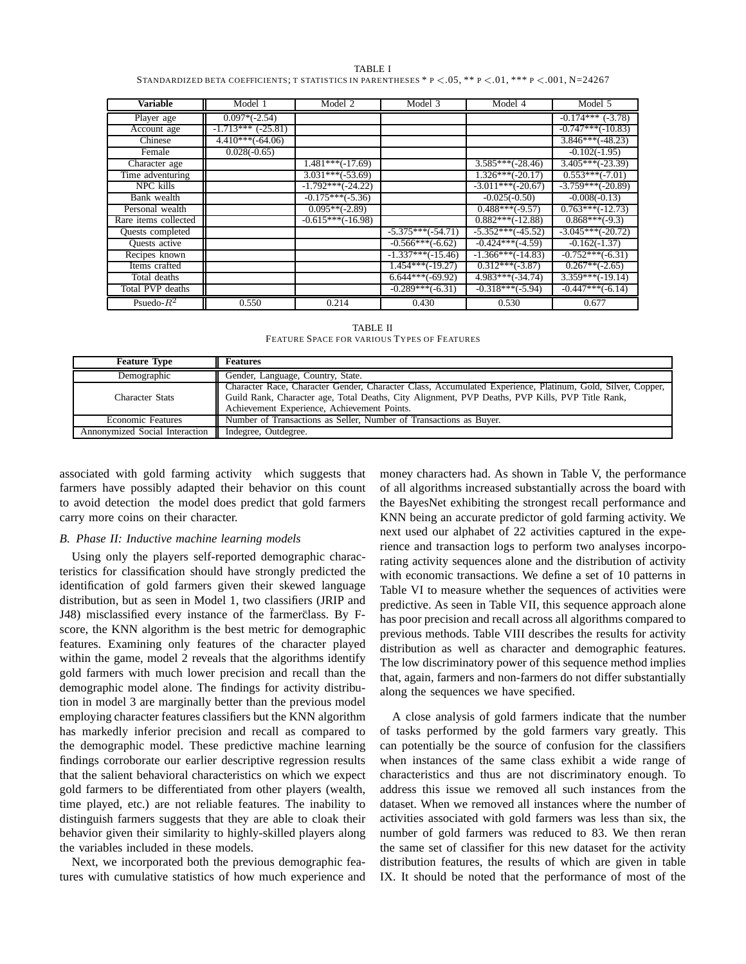| TABLE I                                                                                                             |
|---------------------------------------------------------------------------------------------------------------------|
| STANDARDIZED BETA COEFFICIENTS: T STATISTICS IN PARENTHESES * $P < 0.05$ , ** $P < 0.01$ , *** $P < 0.01$ , N=24267 |

| Variable             | Model 1                  | Model 2             | Model 3             | Model 4             | Model 5                 |
|----------------------|--------------------------|---------------------|---------------------|---------------------|-------------------------|
| Player age           | $0.097*(-2.54)$          |                     |                     |                     | $-0.174***$ ( $-3.78$ ) |
| Account age          | $-1.713***$ ( $-25.81$ ) |                     |                     |                     | $-0.747***(-10.83)$     |
| Chinese              | $4.410***(-64.06)$       |                     |                     |                     | $3.846***(-48.23)$      |
| Female               | $0.028(-0.65)$           |                     |                     |                     | $-0.102(-1.95)$         |
| Character age        |                          | $1.481***(-17.69)$  |                     | $3.585***(-28.46)$  | $3.405***(-23.39)$      |
| Time adventuring     |                          | $3.031***(-53.69)$  |                     | $1.326***(-20.17)$  | $0.553***(-7.01)$       |
| NPC kills            |                          | $-1.792***(-24.22)$ |                     | $-3.011***(-20.67)$ | $-3.759***(-20.89)$     |
| Bank wealth          |                          | $-0.175***(-5.36)$  |                     | $-0.025(-0.50)$     | $-0.008(-0.13)$         |
| Personal wealth      |                          | $0.095**(-2.89)$    |                     | $0.488***(-9.57)$   | $0.763***(-12.73)$      |
| Rare items collected |                          | $-0.615***(-16.98)$ |                     | $0.882***(-12.88)$  | $0.868***(-9.3)$        |
| Quests completed     |                          |                     | $-5.375***(-54.71)$ | $-5.352***(-45.52)$ | $-3.045***(-20.72)$     |
| Quests active        |                          |                     | $-0.566***(-6.62)$  | $-0.424***(-4.59)$  | $-0.162(-1.37)$         |
| Recipes known        |                          |                     | $-1.337***(-15.46)$ | $-1.366***(-14.83)$ | $-0.752***(-6.31)$      |
| Items crafted        |                          |                     | $1.454***(-19.27)$  | $0.312***(-3.87)$   | $0.267**(-2.65)$        |
| Total deaths         |                          |                     | $6.644***(-69.92)$  | $4.983***(-34.74)$  | $3.359***(-19.14)$      |
| Total PVP deaths     |                          |                     | $-0.289***(-6.31)$  | $-0.318***(-5.94)$  | $-0.447***(-6.14)$      |
| Psuedo- $R^2$        | 0.550                    | 0.214               | 0.430               | 0.530               | 0.677                   |

TABLE II FEATURE SPACE FOR VARIOUS TYPES OF FEATURES

| <b>Feature Type</b>                                   | <b>Features</b>                                                                                            |
|-------------------------------------------------------|------------------------------------------------------------------------------------------------------------|
| Demographic                                           | Gender, Language, Country, State.                                                                          |
|                                                       | Character Race, Character Gender, Character Class, Accumulated Experience, Platinum, Gold, Silver, Copper, |
| Character Stats                                       | Guild Rank, Character age, Total Deaths, City Alignment, PVP Deaths, PVP Kills, PVP Title Rank,            |
|                                                       | Achievement Experience, Achievement Points.                                                                |
| <b>Economic Features</b>                              | Number of Transactions as Seller, Number of Transactions as Buyer.                                         |
| Annonymized Social Interaction   Indegree, Outdegree. |                                                                                                            |

associated with gold farming activity which suggests that farmers have possibly adapted their behavior on this count to avoid detection the model does predict that gold farmers carry more coins on their character.

## *B. Phase II: Inductive machine learning models*

Using only the players self-reported demographic characteristics for classification should have strongly predicted the identification of gold farmers given their skewed language distribution, but as seen in Model 1, two classifiers (JRIP and J48) misclassified every instance of the farmerclass. By Fscore, the KNN algorithm is the best metric for demographic features. Examining only features of the character played within the game, model 2 reveals that the algorithms identify gold farmers with much lower precision and recall than the demographic model alone. The findings for activity distribution in model 3 are marginally better than the previous model employing character features classifiers but the KNN algorithm has markedly inferior precision and recall as compared to the demographic model. These predictive machine learning findings corroborate our earlier descriptive regression results that the salient behavioral characteristics on which we expect gold farmers to be differentiated from other players (wealth, time played, etc.) are not reliable features. The inability to distinguish farmers suggests that they are able to cloak their behavior given their similarity to highly-skilled players along the variables included in these models.

Next, we incorporated both the previous demographic features with cumulative statistics of how much experience and

money characters had. As shown in Table V, the performance of all algorithms increased substantially across the board with the BayesNet exhibiting the strongest recall performance and KNN being an accurate predictor of gold farming activity. We next used our alphabet of 22 activities captured in the experience and transaction logs to perform two analyses incorporating activity sequences alone and the distribution of activity with economic transactions. We define a set of 10 patterns in Table VI to measure whether the sequences of activities were predictive. As seen in Table VII, this sequence approach alone has poor precision and recall across all algorithms compared to previous methods. Table VIII describes the results for activity distribution as well as character and demographic features. The low discriminatory power of this sequence method implies that, again, farmers and non-farmers do not differ substantially along the sequences we have specified.

A close analysis of gold farmers indicate that the number of tasks performed by the gold farmers vary greatly. This can potentially be the source of confusion for the classifiers when instances of the same class exhibit a wide range of characteristics and thus are not discriminatory enough. To address this issue we removed all such instances from the dataset. When we removed all instances where the number of activities associated with gold farmers was less than six, the number of gold farmers was reduced to 83. We then reran the same set of classifier for this new dataset for the activity distribution features, the results of which are given in table IX. It should be noted that the performance of most of the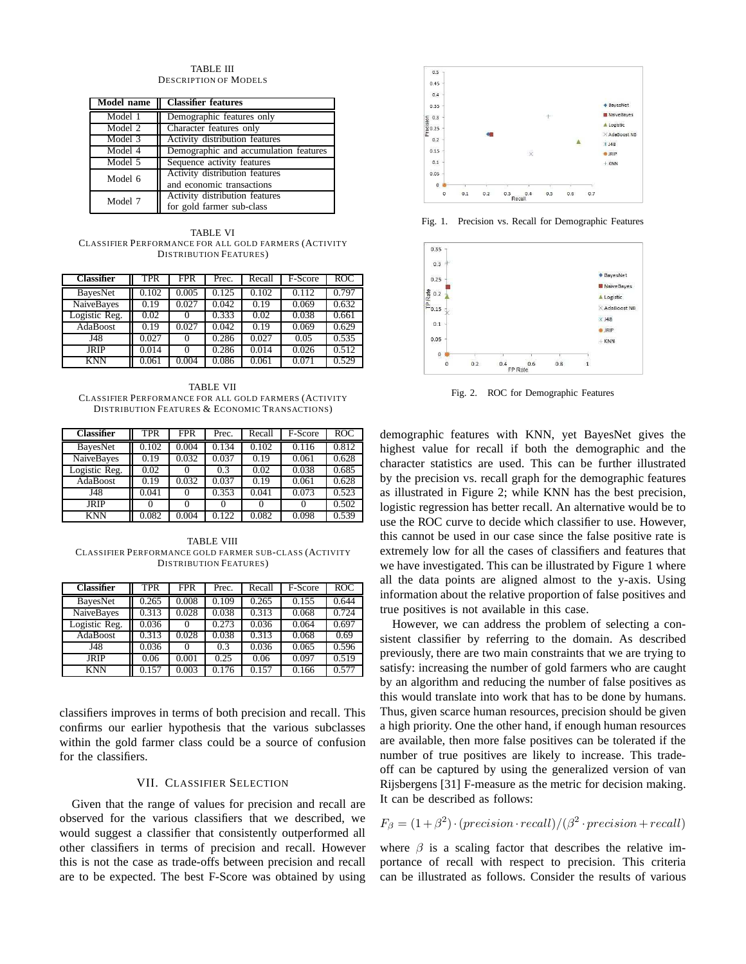#### TABLE III DESCRIPTION OF MODELS

| <b>Model name</b>           | <b>Classifier</b> features            |
|-----------------------------|---------------------------------------|
| Model 1                     | Demographic features only             |
| Model 2                     | Character features only               |
| Model 3                     | Activity distribution features        |
| Model 4                     | Demographic and accumulation features |
| $\overline{\text{Model}}$ 5 | Sequence activity features            |
| Model 6                     | Activity distribution features        |
|                             | and economic transactions             |
| Model 7                     | Activity distribution features        |
|                             | for gold farmer sub-class             |

TABLE VI CLASSIFIER PERFORMANCE FOR ALL GOLD FARMERS (ACTIVITY DISTRIBUTION FEATURES)

| <b>Classifier</b> | TPR   | <b>FPR</b> | Prec. | Recall | F-Score | ROC   |
|-------------------|-------|------------|-------|--------|---------|-------|
| <b>BayesNet</b>   | 0.102 | 0.005      | 0.125 | 0.102  | 0.112   | 0.797 |
| NaiveBayes        | 0.19  | 0.027      | 0.042 | 0.19   | 0.069   | 0.632 |
| Logistic Reg.     | 0.02  |            | 0.333 | 0.02   | 0.038   | 0.661 |
| AdaBoost          | 0.19  | 0.027      | 0.042 | 0.19   | 0.069   | 0.629 |
| J48               | 0.027 |            | 0.286 | 0.027  | 0.05    | 0.535 |
| <b>JRIP</b>       | 0.014 | $\theta$   | 0.286 | 0.014  | 0.026   | 0.512 |
| <b>KNN</b>        | 0.061 | 0.004      | 0.086 | 0.061  | 0.071   | 0.529 |

TABLE VII CLASSIFIER PERFORMANCE FOR ALL GOLD FARMERS (ACTIVITY DISTRIBUTION FEATURES & ECONOMIC TRANSACTIONS)

| <b>Classifier</b> | TPR   | <b>FPR</b> | Prec. | Recall | F-Score | <b>ROC</b> |
|-------------------|-------|------------|-------|--------|---------|------------|
| BayesNet          | 0.102 | 0.004      | 0.134 | 0.102  | 0.116   | 0.812      |
| NaiveBayes        | 0.19  | 0.032      | 0.037 | 0.19   | 0.061   | 0.628      |
| Logistic Reg.     | 0.02  |            | 0.3   | 0.02   | 0.038   | 0.685      |
| AdaBoost          | 0.19  | 0.032      | 0.037 | 0.19   | 0.061   | 0.628      |
| J48               | 0.041 | $\theta$   | 0.353 | 0.041  | 0.073   | 0.523      |
| JRIP              |       |            |       |        |         | 0.502      |
| <b>KNN</b>        | 0.082 | 0.004      | .122  | 0.082  | 0.098   | 0.539      |

TABLE VIII CLASSIFIER PERFORMANCE GOLD FARMER SUB-CLASS (ACTIVITY DISTRIBUTION FEATURES)

| <b>Classifier</b> | TPR   | <b>FPR</b> | Prec. | Recall | F-Score | <b>ROC</b> |
|-------------------|-------|------------|-------|--------|---------|------------|
| BayesNet          | 0.265 | 0.008      | 0.109 | 0.265  | 0.155   | 0.644      |
| <b>NaiveBayes</b> | 0.313 | 0.028      | 0.038 | 0.313  | 0.068   | 0.724      |
| Logistic Reg.     | 0.036 |            | 0.273 | 0.036  | 0.064   | 0.697      |
| AdaBoost          | 0.313 | 0.028      | 0.038 | 0.313  | 0.068   | 0.69       |
| J48               | 0.036 |            | 0.3   | 0.036  | 0.065   | 0.596      |
| <b>JRIP</b>       | 0.06  | 0.001      | 0.25  | 0.06   | 0.097   | 0.519      |
| <b>KNN</b>        | 0.157 | 0.003      | 0.176 | 0.157  | 0.166   | 0.577      |

classifiers improves in terms of both precision and recall. This confirms our earlier hypothesis that the various subclasses within the gold farmer class could be a source of confusion for the classifiers.

## VII. CLASSIFIER SELECTION

Given that the range of values for precision and recall are observed for the various classifiers that we described, we would suggest a classifier that consistently outperformed all other classifiers in terms of precision and recall. However this is not the case as trade-offs between precision and recall are to be expected. The best F-Score was obtained by using



Fig. 1. Precision vs. Recall for Demographic Features



Fig. 2. ROC for Demographic Features

demographic features with KNN, yet BayesNet gives the highest value for recall if both the demographic and the character statistics are used. This can be further illustrated by the precision vs. recall graph for the demographic features as illustrated in Figure 2; while KNN has the best precision, logistic regression has better recall. An alternative would be to use the ROC curve to decide which classifier to use. However, this cannot be used in our case since the false positive rate is extremely low for all the cases of classifiers and features that we have investigated. This can be illustrated by Figure 1 where all the data points are aligned almost to the y-axis. Using information about the relative proportion of false positives and true positives is not available in this case.

However, we can address the problem of selecting a consistent classifier by referring to the domain. As described previously, there are two main constraints that we are trying to satisfy: increasing the number of gold farmers who are caught by an algorithm and reducing the number of false positives as this would translate into work that has to be done by humans. Thus, given scarce human resources, precision should be given a high priority. One the other hand, if enough human resources are available, then more false positives can be tolerated if the number of true positives are likely to increase. This tradeoff can be captured by using the generalized version of van Rijsbergens [31] F-measure as the metric for decision making. It can be described as follows:

$$
F_{\beta} = (1 + \beta^2) \cdot (precision \cdot recall) / (\beta^2 \cdot precision + recall)
$$

where  $\beta$  is a scaling factor that describes the relative importance of recall with respect to precision. This criteria can be illustrated as follows. Consider the results of various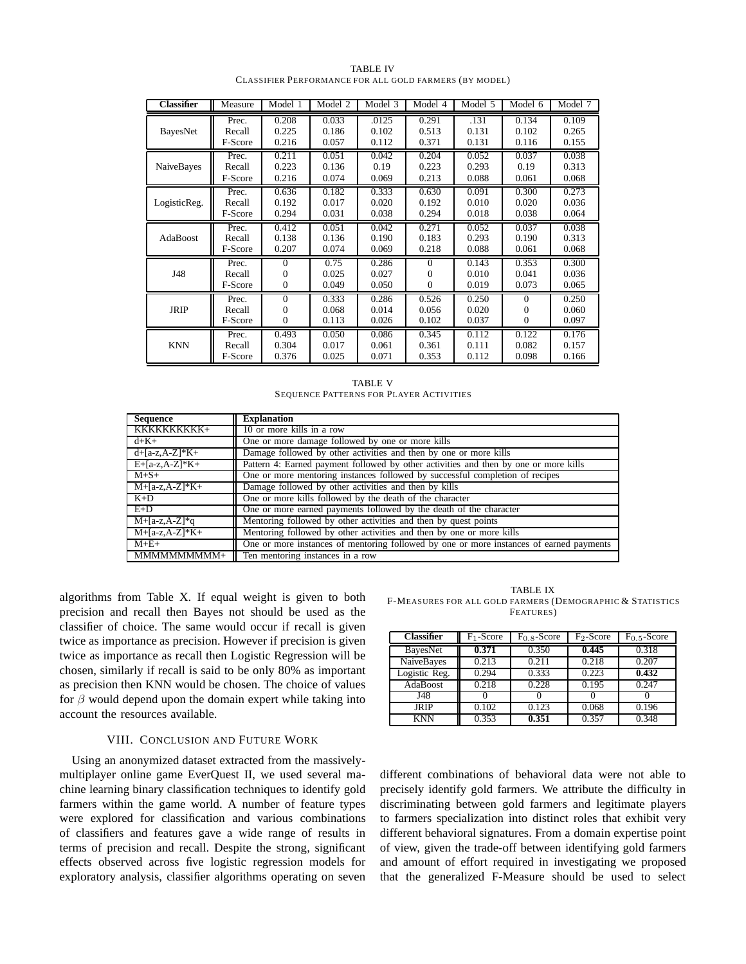| Classifier        | Measure | Model 1  | Model 2 | Model 3 | Model 4  | Model 5 | Model 6  | Model 7 |
|-------------------|---------|----------|---------|---------|----------|---------|----------|---------|
| BayesNet          | Prec.   | 0.208    | 0.033   | .0125   | 0.291    | .131    | 0.134    | 0.109   |
|                   | Recall  | 0.225    | 0.186   | 0.102   | 0.513    | 0.131   | 0.102    | 0.265   |
|                   | F-Score | 0.216    | 0.057   | 0.112   | 0.371    | 0.131   | 0.116    | 0.155   |
| <b>NaiveBayes</b> | Prec.   | 0.211    | 0.051   | 0.042   | 0.204    | 0.052   | 0.037    | 0.038   |
|                   | Recall  | 0.223    | 0.136   | 0.19    | 0.223    | 0.293   | 0.19     | 0.313   |
|                   | F-Score | 0.216    | 0.074   | 0.069   | 0.213    | 0.088   | 0.061    | 0.068   |
| LogisticReg.      | Prec.   | 0.636    | 0.182   | 0.333   | 0.630    | 0.091   | 0.300    | 0.273   |
|                   | Recall  | 0.192    | 0.017   | 0.020   | 0.192    | 0.010   | 0.020    | 0.036   |
|                   | F-Score | 0.294    | 0.031   | 0.038   | 0.294    | 0.018   | 0.038    | 0.064   |
| AdaBoost          | Prec.   | 0.412    | 0.051   | 0.042   | 0.271    | 0.052   | 0.037    | 0.038   |
|                   | Recall  | 0.138    | 0.136   | 0.190   | 0.183    | 0.293   | 0.190    | 0.313   |
|                   | F-Score | 0.207    | 0.074   | 0.069   | 0.218    | 0.088   | 0.061    | 0.068   |
| J48               | Prec.   | 0        | 0.75    | 0.286   | $\Omega$ | 0.143   | 0.353    | 0.300   |
|                   | Recall  | 0        | 0.025   | 0.027   | 0        | 0.010   | 0.041    | 0.036   |
|                   | F-Score | 0        | 0.049   | 0.050   | $\Omega$ | 0.019   | 0.073    | 0.065   |
| <b>JRIP</b>       | Prec.   | $\Omega$ | 0.333   | 0.286   | 0.526    | 0.250   | $\Omega$ | 0.250   |
|                   | Recall  | 0        | 0.068   | 0.014   | 0.056    | 0.020   | 0        | 0.060   |
|                   | F-Score | 0        | 0.113   | 0.026   | 0.102    | 0.037   | $\Omega$ | 0.097   |
| <b>KNN</b>        | Prec.   | 0.493    | 0.050   | 0.086   | 0.345    | 0.112   | 0.122    | 0.176   |
|                   | Recall  | 0.304    | 0.017   | 0.061   | 0.361    | 0.111   | 0.082    | 0.157   |
|                   | F-Score | 0.376    | 0.025   | 0.071   | 0.353    | 0.112   | 0.098    | 0.166   |

TABLE IV CLASSIFIER PERFORMANCE FOR ALL GOLD FARMERS (BY MODEL)

TABLE V SEQUENCE PATTERNS FOR PLAYER ACTIVITIES

| <b>Sequence</b>  | <b>Explanation</b>                                                                      |
|------------------|-----------------------------------------------------------------------------------------|
| KKKKKKKKKK+      | 10 or more kills in a row                                                               |
| $d + K +$        | One or more damage followed by one or more kills                                        |
| $d+[a-z,A-Z]*K+$ | Damage followed by other activities and then by one or more kills                       |
| $E+[a-z,A-Z]*K+$ | Pattern 4: Earned payment followed by other activities and then by one or more kills    |
| $M+S+$           | One or more mentoring instances followed by successful completion of recipes            |
| $M+[a-z,A-Z]*K+$ | Damage followed by other activities and then by kills                                   |
| $K+D$            | One or more kills followed by the death of the character                                |
| $E+D$            | One or more earned payments followed by the death of the character                      |
| $M+[a-z,A-Z]*q$  | Mentoring followed by other activities and then by quest points                         |
| $M+[a-z,A-Z]*K+$ | Mentoring followed by other activities and then by one or more kills                    |
| $M+E+$           | One or more instances of mentoring followed by one or more instances of earned payments |
| MMMMMMMMM+       | Ten mentoring instances in a row                                                        |

algorithms from Table X. If equal weight is given to both precision and recall then Bayes not should be used as the classifier of choice. The same would occur if recall is given twice as importance as precision. However if precision is given twice as importance as recall then Logistic Regression will be chosen, similarly if recall is said to be only 80% as important as precision then KNN would be chosen. The choice of values for  $\beta$  would depend upon the domain expert while taking into account the resources available.

## VIII. CONCLUSION AND FUTURE WORK

Using an anonymized dataset extracted from the massivelymultiplayer online game EverQuest II, we used several machine learning binary classification techniques to identify gold farmers within the game world. A number of feature types were explored for classification and various combinations of classifiers and features gave a wide range of results in terms of precision and recall. Despite the strong, significant effects observed across five logistic regression models for exploratory analysis, classifier algorithms operating on seven

TABLE IX F-MEASURES FOR ALL GOLD FARMERS (DEMOGRAPHIC & STATISTICS FEATURES)

| <b>Classifier</b> | $F_1$ -Score | $F_{0.8}$ -Score | $F_2$ -Score | $F_0$ 5-Score |
|-------------------|--------------|------------------|--------------|---------------|
| BayesNet          | 0.371        | 0.350            | 0.445        | 0.318         |
| NaiveBayes        | 0.213        | 0.211            | 0.218        | 0.207         |
| Logistic Reg.     | 0.294        | 0.333            | 0.223        | 0.432         |
| AdaBoost          | 0.218        | 0.228            | 0.195        | 0.247         |
| J48               |              |                  |              |               |
| <b>JRIP</b>       | 0.102        | 0.123            | 0.068        | 0.196         |
| <b>KNN</b>        | 0.353        | 0.351            | 0.357        | 0.348         |

different combinations of behavioral data were not able to precisely identify gold farmers. We attribute the difficulty in discriminating between gold farmers and legitimate players to farmers specialization into distinct roles that exhibit very different behavioral signatures. From a domain expertise point of view, given the trade-off between identifying gold farmers and amount of effort required in investigating we proposed that the generalized F-Measure should be used to select